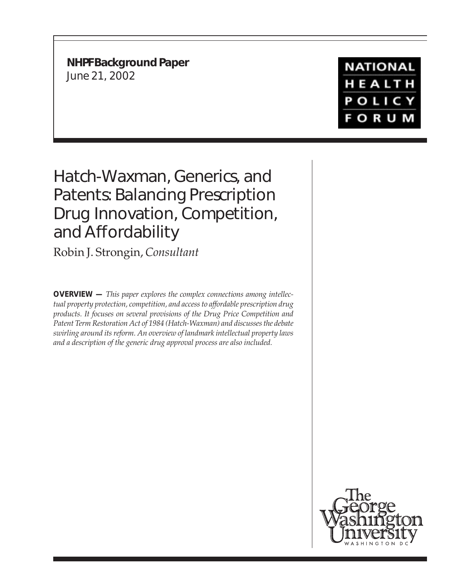**NHPF Background Paper** June 21, 2002

# **NATIONAL** HEALTH **POLICY FORUM**

# Hatch-Waxman, Generics, and Patents: Balancing Prescription Drug Innovation, Competition, and Affordability

Robin J. Strongin, *Consultant*

**OVERVIEW —** *This paper explores the complex connections among intellectual property protection, competition, and access to affordable prescription drug products. It focuses on several provisions of the Drug Price Competition and Patent Term Restoration Act of 1984 (Hatch-Waxman) and discusses the debate swirling around its reform. An overview of landmark intellectual property laws and a description of the generic drug approval process are also included.*

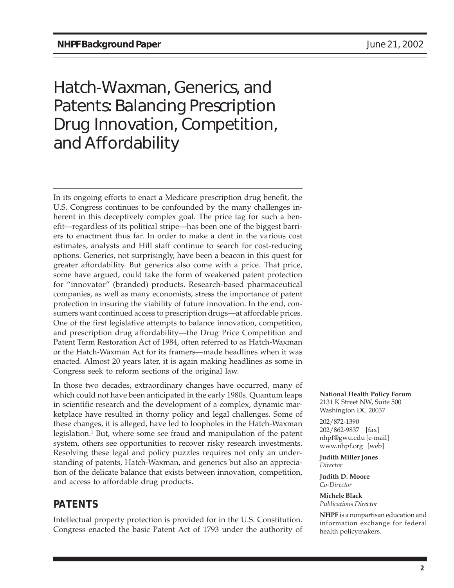# Hatch-Waxman, Generics, and Patents: Balancing Prescription Drug Innovation, Competition, and Affordability

In its ongoing efforts to enact a Medicare prescription drug benefit, the U.S. Congress continues to be confounded by the many challenges inherent in this deceptively complex goal. The price tag for such a benefit—regardless of its political stripe—has been one of the biggest barriers to enactment thus far. In order to make a dent in the various cost estimates, analysts and Hill staff continue to search for cost-reducing options. Generics, not surprisingly, have been a beacon in this quest for greater affordability. But generics also come with a price. That price, some have argued, could take the form of weakened patent protection for "innovator" (branded) products. Research-based pharmaceutical companies, as well as many economists, stress the importance of patent protection in insuring the viability of future innovation. In the end, consumers want continued access to prescription drugs—at affordable prices. One of the first legislative attempts to balance innovation, competition, and prescription drug affordability—the Drug Price Competition and Patent Term Restoration Act of 1984, often referred to as Hatch-Waxman or the Hatch-Waxman Act for its framers—made headlines when it was enacted. Almost 20 years later, it is again making headlines as some in Congress seek to reform sections of the original law.

In those two decades, extraordinary changes have occurred, many of which could not have been anticipated in the early 1980s. Quantum leaps in scientific research and the development of a complex, dynamic marketplace have resulted in thorny policy and legal challenges. Some of these changes, it is alleged, have led to loopholes in the Hatch-Waxman legislation.<sup>1</sup> But, where some see fraud and manipulation of the patent system, others see opportunities to recover risky research investments. Resolving these legal and policy puzzles requires not only an understanding of patents, Hatch-Waxman, and generics but also an appreciation of the delicate balance that exists between innovation, competition, and access to affordable drug products.

# **PATENTS**

Intellectual property protection is provided for in the U.S. Constitution. Congress enacted the basic Patent Act of 1793 under the authority of **National Health Policy Forum** 2131 K Street NW, Suite 500 Washington DC 20037

202/872-1390 202/862-9837 [fax] nhpf@gwu.edu [e-mail] www.nhpf.org [web]

**Judith Miller Jones** *Director*

**Judith D. Moore** *Co-Director*

**Michele Black** *Publications Director*

**NHPF** is a nonpartisan education and information exchange for federal health policymakers.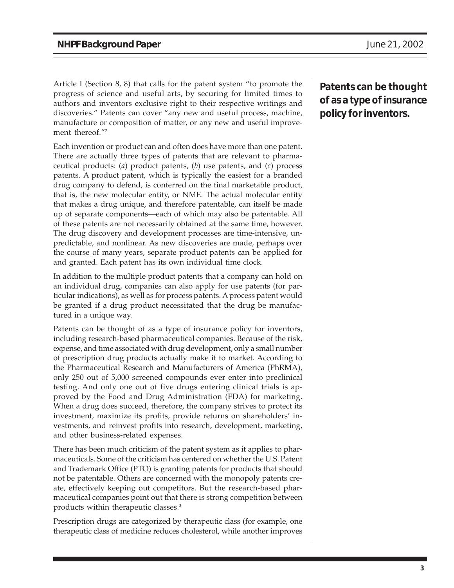Article I (Section 8, 8) that calls for the patent system "to promote the progress of science and useful arts, by securing for limited times to authors and inventors exclusive right to their respective writings and discoveries." Patents can cover "any new and useful process, machine, manufacture or composition of matter, or any new and useful improvement thereof."2

Each invention or product can and often does have more than one patent. There are actually three types of patents that are relevant to pharmaceutical products: (*a*) product patents, (*b*) use patents, and (*c*) process patents. A product patent, which is typically the easiest for a branded drug company to defend, is conferred on the final marketable product, that is, the new molecular entity, or NME. The actual molecular entity that makes a drug unique, and therefore patentable, can itself be made up of separate components—each of which may also be patentable. All of these patents are not necessarily obtained at the same time, however. The drug discovery and development processes are time-intensive, unpredictable, and nonlinear. As new discoveries are made, perhaps over the course of many years, separate product patents can be applied for and granted. Each patent has its own individual time clock.

In addition to the multiple product patents that a company can hold on an individual drug, companies can also apply for use patents (for particular indications), as well as for process patents. A process patent would be granted if a drug product necessitated that the drug be manufactured in a unique way.

Patents can be thought of as a type of insurance policy for inventors, including research-based pharmaceutical companies. Because of the risk, expense, and time associated with drug development, only a small number of prescription drug products actually make it to market. According to the Pharmaceutical Research and Manufacturers of America (PhRMA), only 250 out of 5,000 screened compounds ever enter into preclinical testing. And only one out of five drugs entering clinical trials is approved by the Food and Drug Administration (FDA) for marketing. When a drug does succeed, therefore, the company strives to protect its investment, maximize its profits, provide returns on shareholders' investments, and reinvest profits into research, development, marketing, and other business-related expenses.

There has been much criticism of the patent system as it applies to pharmaceuticals. Some of the criticism has centered on whether the U.S. Patent and Trademark Office (PTO) is granting patents for products that should not be patentable. Others are concerned with the monopoly patents create, effectively keeping out competitors. But the research-based pharmaceutical companies point out that there is strong competition between products within therapeutic classes.3

Prescription drugs are categorized by therapeutic class (for example, one therapeutic class of medicine reduces cholesterol, while another improves

**Patents can be thought of as a type of insurance policy for inventors.**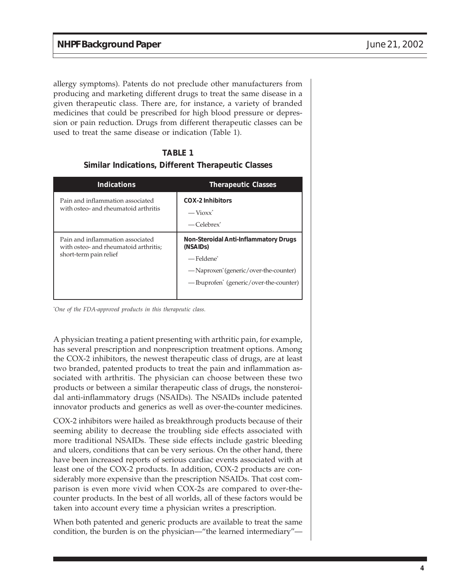allergy symptoms). Patents do not preclude other manufacturers from producing and marketing different drugs to treat the same disease in a given therapeutic class. There are, for instance, a variety of branded medicines that could be prescribed for high blood pressure or depression or pain reduction. Drugs from different therapeutic classes can be used to treat the same disease or indication (Table 1).

| Similar Indications, Different Therapeutic Classes                                                  |                                                                                                                                                                              |  |
|-----------------------------------------------------------------------------------------------------|------------------------------------------------------------------------------------------------------------------------------------------------------------------------------|--|
| <b>Indications</b>                                                                                  | <b>Therapeutic Classes</b>                                                                                                                                                   |  |
| Pain and inflammation associated<br>with osteo- and rheumatoid arthritis                            | <b>COX-2 Inhibitors</b><br>$-Vi$ oxx <sup>*</sup><br>$-Celebrew^*$                                                                                                           |  |
| Pain and inflammation associated<br>with osteo- and rheumatoid arthritis;<br>short-term pain relief | Non-Steroidal Anti-Inflammatory Drugs<br>(NSAID <sub>S</sub> )<br>-Feldene*<br>— Naproxen' (generic/over-the-counter)<br>— Ibuprofen <sup>*</sup> (generic/over-the-counter) |  |

#### **Similar Indications, Different Therapeutic Classes TABLE 1**

*\* One of the FDA-approved products in this therapeutic class.*

A physician treating a patient presenting with arthritic pain, for example, has several prescription and nonprescription treatment options. Among the COX-2 inhibitors, the newest therapeutic class of drugs, are at least two branded, patented products to treat the pain and inflammation associated with arthritis. The physician can choose between these two products or between a similar therapeutic class of drugs, the nonsteroidal anti-inflammatory drugs (NSAIDs). The NSAIDs include patented innovator products and generics as well as over-the-counter medicines.

COX-2 inhibitors were hailed as breakthrough products because of their seeming ability to decrease the troubling side effects associated with more traditional NSAIDs. These side effects include gastric bleeding and ulcers, conditions that can be very serious. On the other hand, there have been increased reports of serious cardiac events associated with at least one of the COX-2 products. In addition, COX-2 products are considerably more expensive than the prescription NSAIDs. That cost comparison is even more vivid when COX-2s are compared to over-thecounter products. In the best of all worlds, all of these factors would be taken into account every time a physician writes a prescription.

When both patented and generic products are available to treat the same condition, the burden is on the physician—"the learned intermediary"—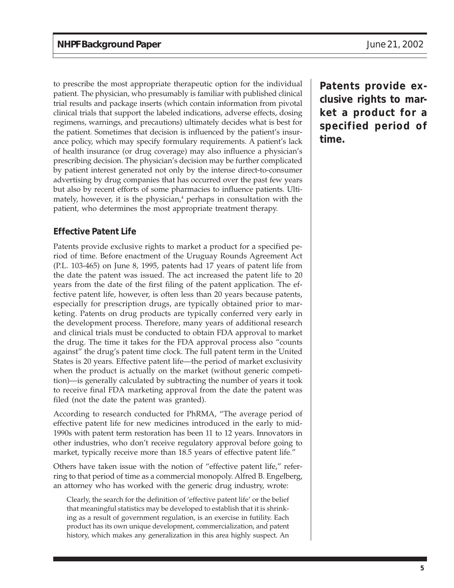to prescribe the most appropriate therapeutic option for the individual patient. The physician, who presumably is familiar with published clinical trial results and package inserts (which contain information from pivotal clinical trials that support the labeled indications, adverse effects, dosing regimens, warnings, and precautions) ultimately decides what is best for the patient. Sometimes that decision is influenced by the patient's insurance policy, which may specify formulary requirements. A patient's lack of health insurance (or drug coverage) may also influence a physician's prescribing decision. The physician's decision may be further complicated by patient interest generated not only by the intense direct-to-consumer advertising by drug companies that has occurred over the past few years but also by recent efforts of some pharmacies to influence patients. Ultimately, however, it is the physician,<sup>4</sup> perhaps in consultation with the patient, who determines the most appropriate treatment therapy.

#### **Effective Patent Life**

Patents provide exclusive rights to market a product for a specified period of time. Before enactment of the Uruguay Rounds Agreement Act (P.L. 103-465) on June 8, 1995, patents had 17 years of patent life from the date the patent was issued. The act increased the patent life to 20 years from the date of the first filing of the patent application. The effective patent life, however, is often less than 20 years because patents, especially for prescription drugs, are typically obtained prior to marketing. Patents on drug products are typically conferred very early in the development process. Therefore, many years of additional research and clinical trials must be conducted to obtain FDA approval to market the drug. The time it takes for the FDA approval process also "counts against" the drug's patent time clock. The full patent term in the United States is 20 years. Effective patent life—the period of market exclusivity when the product is actually on the market (without generic competition)—is generally calculated by subtracting the number of years it took to receive final FDA marketing approval from the date the patent was filed (not the date the patent was granted).

According to research conducted for PhRMA, "The average period of effective patent life for new medicines introduced in the early to mid-1990s with patent term restoration has been 11 to 12 years. Innovators in other industries, who don't receive regulatory approval before going to market, typically receive more than 18.5 years of effective patent life."

Others have taken issue with the notion of "effective patent life," referring to that period of time as a commercial monopoly. Alfred B. Engelberg, an attorney who has worked with the generic drug industry, wrote:

Clearly, the search for the definition of 'effective patent life' or the belief that meaningful statistics may be developed to establish that it is shrinking as a result of government regulation, is an exercise in futility. Each product has its own unique development, commercialization, and patent history, which makes any generalization in this area highly suspect. An

**Patents provide exclusive rights to market a product for a specified period of time.**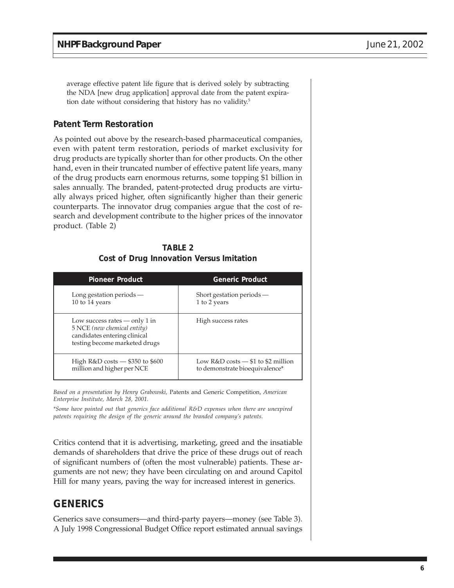average effective patent life figure that is derived solely by subtracting the NDA [new drug application] approval date from the patent expiration date without considering that history has no validity.<sup>5</sup>

#### **Patent Term Restoration**

As pointed out above by the research-based pharmaceutical companies, even with patent term restoration, periods of market exclusivity for drug products are typically shorter than for other products. On the other hand, even in their truncated number of effective patent life years, many of the drug products earn enormous returns, some topping \$1 billion in sales annually. The branded, patent-protected drug products are virtually always priced higher, often significantly higher than their generic counterparts. The innovator drug companies argue that the cost of research and development contribute to the higher prices of the innovator product. (Table 2)

#### **TABLE 2 Cost of Drug Innovation Versus Imitation**

| <b>Pioneer Product</b>                                                                                                          | <b>Generic Product</b>                                      |
|---------------------------------------------------------------------------------------------------------------------------------|-------------------------------------------------------------|
| Long gestation periods $-$                                                                                                      | Short gestation periods $-$                                 |
| 10 to 14 years                                                                                                                  | 1 to 2 years                                                |
| Low success rates $-$ only 1 in<br>5 NCE (new chemical entity)<br>candidates entering clinical<br>testing become marketed drugs | High success rates                                          |
| High $R&D \text{ costs} - $350 \text{ to } $600$                                                                                | Low $R&D \text{ costs} - $1 \text{ to } $2 \text{ million}$ |
| million and higher per NCE                                                                                                      | to demonstrate bioequivalence*                              |

*Based on a presentation by Henry Grabowski,* Patents and Generic Competition, *American Enterprise Institute, March 28, 2001.*

*\*Some have pointed out that generics face additional R&D expenses when there are unexpired patents requiring the design of the generic around the branded company's patents.*

Critics contend that it is advertising, marketing, greed and the insatiable demands of shareholders that drive the price of these drugs out of reach of significant numbers of (often the most vulnerable) patients. These arguments are not new; they have been circulating on and around Capitol Hill for many years, paving the way for increased interest in generics.

## **GENERICS**

Generics save consumers—and third-party payers—money (see Table 3). A July 1998 Congressional Budget Office report estimated annual savings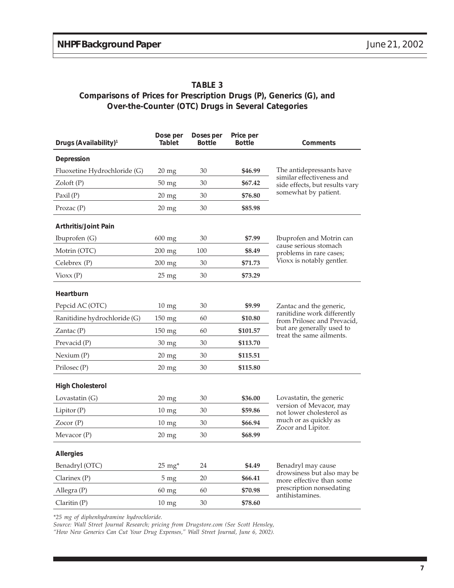#### **TABLE 3 Comparisons of Prices for Prescription Drugs (P), Generics (G), and Over-the-Counter (OTC) Drugs in Several Categories**

| Drugs (Availability) <sup>1</sup> | Dose per<br>Tablet | Doses per<br><b>Bottle</b> | Price per<br><b>Bottle</b> | Comments                                                                                                                                       |
|-----------------------------------|--------------------|----------------------------|----------------------------|------------------------------------------------------------------------------------------------------------------------------------------------|
| Depression                        |                    |                            |                            |                                                                                                                                                |
| Fluoxetine Hydrochloride (G)      | $20 \text{ mg}$    | 30                         | \$46.99                    | The antidepressants have<br>similar effectiveness and<br>side effects, but results vary<br>somewhat by patient.                                |
| Zoloft(P)                         | 50 mg              | 30                         | \$67.42                    |                                                                                                                                                |
| $\text{Paxil}(\text{P})$          | $20$ mg            | 30                         | \$76.80                    |                                                                                                                                                |
| Prozac(P)                         | $20$ mg            | 30                         | \$85.98                    |                                                                                                                                                |
| <b>Arthritis/Joint Pain</b>       |                    |                            |                            |                                                                                                                                                |
| Ibuprofen $(G)$                   | 600 mg             | 30                         | \$7.99                     | Ibuprofen and Motrin can<br>cause serious stomach<br>problems in rare cases;<br>Vioxx is notably gentler.                                      |
| Motrin (OTC)                      | 200 mg             | 100                        | \$8.49                     |                                                                                                                                                |
| Celebrex (P)                      | 200 mg             | 30                         | \$71.73                    |                                                                                                                                                |
| Vioxx(P)                          | $25$ mg            | 30                         | \$73.29                    |                                                                                                                                                |
| Heartburn                         |                    |                            |                            |                                                                                                                                                |
| Pepcid AC (OTC)                   | $10 \text{ mg}$    | 30                         | \$9.99                     | Zantac and the generic,<br>ranitidine work differently<br>from Prilosec and Prevacid,<br>but are generally used to<br>treat the same ailments. |
| Ranitidine hydrochloride (G)      | 150 mg             | 60                         | \$10.80                    |                                                                                                                                                |
| Zantac $(P)$                      | 150 mg             | 60                         | \$101.57                   |                                                                                                                                                |
| Prevacid (P)                      | 30 mg              | 30                         | \$113.70                   |                                                                                                                                                |
| Nexium (P)                        | $20$ mg            | 30                         | \$115.51                   |                                                                                                                                                |
| Prilosec (P)                      | $20$ mg            | 30                         | \$115.80                   |                                                                                                                                                |
| <b>High Cholesterol</b>           |                    |                            |                            |                                                                                                                                                |
| Lovastatin (G)                    | $20 \text{ mg}$    | 30                         | \$36.00                    | Lovastatin, the generic<br>version of Mevacor, may<br>not lower cholesterol as<br>much or as quickly as<br>Zocor and Lipitor.                  |
| Lipitor $(P)$                     | $10 \text{ mg}$    | 30                         | \$59.86                    |                                                                                                                                                |
| Zocor(P)                          | $10 \text{ mg}$    | 30                         | \$66.94                    |                                                                                                                                                |
| Mevacor (P)                       | $20$ mg            | 30                         | \$68.99                    |                                                                                                                                                |
| <b>Allergies</b>                  |                    |                            |                            |                                                                                                                                                |
| Benadryl (OTC)                    | $25 \text{ mg}^*$  | 24                         | \$4.49                     | Benadryl may cause                                                                                                                             |
| Clarinex(P)                       | $5 \text{ mg}$     | 20                         | \$66.41                    | drowsiness but also may be<br>more effective than some<br>prescription nonsedating<br>antihistamines.                                          |
| Allegra (P)                       | 60 mg              | 60                         | \$70.98                    |                                                                                                                                                |
| Claritin (P)                      | 10 <sub>mg</sub>   | 30                         | \$78.60                    |                                                                                                                                                |

*\*25 mg of diphenhydramine hydrochloride.*

*Source: Wall Street Journal Research; pricing from Drugstore.com (See Scott Hensley, "How New Generics Can Cut Your Drug Expenses," Wall Street Journal, June 6, 2002).*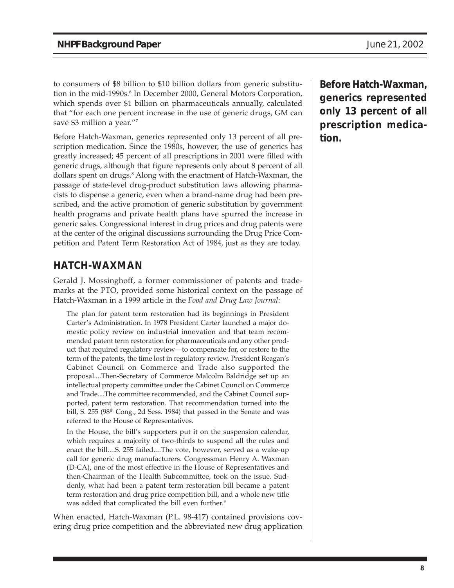to consumers of \$8 billion to \$10 billion dollars from generic substitution in the mid-1990s.<sup>6</sup> In December 2000, General Motors Corporation, which spends over \$1 billion on pharmaceuticals annually, calculated that "for each one percent increase in the use of generic drugs, GM can save \$3 million a year."7

Before Hatch-Waxman, generics represented only 13 percent of all prescription medication. Since the 1980s, however, the use of generics has greatly increased; 45 percent of all prescriptions in 2001 were filled with generic drugs, although that figure represents only about 8 percent of all dollars spent on drugs.<sup>8</sup> Along with the enactment of Hatch-Waxman, the passage of state-level drug-product substitution laws allowing pharmacists to dispense a generic, even when a brand-name drug had been prescribed, and the active promotion of generic substitution by government health programs and private health plans have spurred the increase in generic sales. Congressional interest in drug prices and drug patents were at the center of the original discussions surrounding the Drug Price Competition and Patent Term Restoration Act of 1984, just as they are today.

# **HATCH-WAXMAN**

Gerald J. Mossinghoff, a former commissioner of patents and trademarks at the PTO, provided some historical context on the passage of Hatch-Waxman in a 1999 article in the *Food and Drug Law Journal*:

The plan for patent term restoration had its beginnings in President Carter's Administration. In 1978 President Carter launched a major domestic policy review on industrial innovation and that team recommended patent term restoration for pharmaceuticals and any other product that required regulatory review—to compensate for, or restore to the term of the patents, the time lost in regulatory review. President Reagan's Cabinet Council on Commerce and Trade also supported the proposal....Then-Secretary of Commerce Malcolm Baldridge set up an intellectual property committee under the Cabinet Council on Commerce and Trade....The committee recommended, and the Cabinet Council supported, patent term restoration. That recommendation turned into the bill, S. 255 (98<sup>th</sup> Cong., 2d Sess. 1984) that passed in the Senate and was referred to the House of Representatives.

In the House, the bill's supporters put it on the suspension calendar, which requires a majority of two-thirds to suspend all the rules and enact the bill....S. 255 failed....The vote, however, served as a wake-up call for generic drug manufacturers. Congressman Henry A. Waxman (D-CA), one of the most effective in the House of Representatives and then-Chairman of the Health Subcommittee, took on the issue. Suddenly, what had been a patent term restoration bill became a patent term restoration and drug price competition bill, and a whole new title was added that complicated the bill even further.<sup>9</sup>

When enacted, Hatch-Waxman (P.L. 98-417) contained provisions covering drug price competition and the abbreviated new drug application **Before Hatch-Waxman, generics represented only 13 percent of all prescription medication.**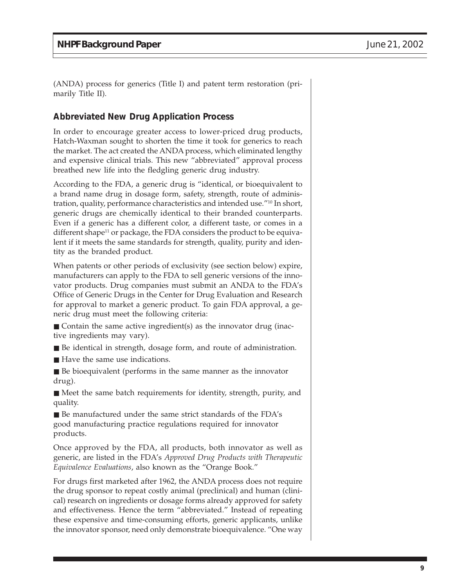(ANDA) process for generics (Title I) and patent term restoration (primarily Title II).

#### **Abbreviated New Drug Application Process**

In order to encourage greater access to lower-priced drug products, Hatch-Waxman sought to shorten the time it took for generics to reach the market. The act created the ANDA process, which eliminated lengthy and expensive clinical trials. This new "abbreviated" approval process breathed new life into the fledgling generic drug industry.

According to the FDA, a generic drug is "identical, or bioequivalent to a brand name drug in dosage form, safety, strength, route of administration, quality, performance characteristics and intended use."10 In short, generic drugs are chemically identical to their branded counterparts. Even if a generic has a different color, a different taste, or comes in a different shape<sup>11</sup> or package, the FDA considers the product to be equivalent if it meets the same standards for strength, quality, purity and identity as the branded product.

When patents or other periods of exclusivity (see section below) expire, manufacturers can apply to the FDA to sell generic versions of the innovator products. Drug companies must submit an ANDA to the FDA's Office of Generic Drugs in the Center for Drug Evaluation and Research for approval to market a generic product. To gain FDA approval, a generic drug must meet the following criteria:

- $\blacksquare$  Contain the same active ingredient(s) as the innovator drug (inactive ingredients may vary).
- Be identical in strength, dosage form, and route of administration.
- Have the same use indications.
- Be bioequivalent (performs in the same manner as the innovator drug).
- Meet the same batch requirements for identity, strength, purity, and quality.
- Be manufactured under the same strict standards of the FDA's good manufacturing practice regulations required for innovator products.

Once approved by the FDA, all products, both innovator as well as generic, are listed in the FDA's *Approved Drug Products with Therapeutic Equivalence Evaluations*, also known as the "Orange Book."

For drugs first marketed after 1962, the ANDA process does not require the drug sponsor to repeat costly animal (preclinical) and human (clinical) research on ingredients or dosage forms already approved for safety and effectiveness. Hence the term "abbreviated." Instead of repeating these expensive and time-consuming efforts, generic applicants, unlike the innovator sponsor, need only demonstrate bioequivalence. "One way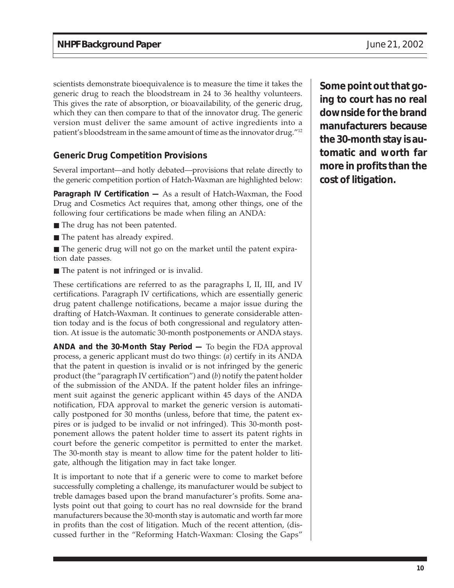scientists demonstrate bioequivalence is to measure the time it takes the generic drug to reach the bloodstream in 24 to 36 healthy volunteers. This gives the rate of absorption, or bioavailability, of the generic drug, which they can then compare to that of the innovator drug. The generic version must deliver the same amount of active ingredients into a patient's bloodstream in the same amount of time as the innovator drug."12

## **Generic Drug Competition Provisions**

Several important—and hotly debated—provisions that relate directly to the generic competition portion of Hatch-Waxman are highlighted below:

**Paragraph IV Certification —** As a result of Hatch-Waxman, the Food Drug and Cosmetics Act requires that, among other things, one of the following four certifications be made when filing an ANDA:

- The drug has not been patented.
- The patent has already expired.
- The generic drug will not go on the market until the patent expiration date passes.
- The patent is not infringed or is invalid.

These certifications are referred to as the paragraphs I, II, III, and IV certifications. Paragraph IV certifications, which are essentially generic drug patent challenge notifications, became a major issue during the drafting of Hatch-Waxman. It continues to generate considerable attention today and is the focus of both congressional and regulatory attention. At issue is the automatic 30-month postponements or ANDA stays.

**ANDA and the 30-Month Stay Period —** To begin the FDA approval process, a generic applicant must do two things: (*a*) certify in its ANDA that the patent in question is invalid or is not infringed by the generic product (the "paragraph IV certification") and (*b*) notify the patent holder of the submission of the ANDA. If the patent holder files an infringement suit against the generic applicant within 45 days of the ANDA notification, FDA approval to market the generic version is automatically postponed for 30 months (unless, before that time, the patent expires or is judged to be invalid or not infringed). This 30-month postponement allows the patent holder time to assert its patent rights in court before the generic competitor is permitted to enter the market. The 30-month stay is meant to allow time for the patent holder to litigate, although the litigation may in fact take longer.

It is important to note that if a generic were to come to market before successfully completing a challenge, its manufacturer would be subject to treble damages based upon the brand manufacturer's profits. Some analysts point out that going to court has no real downside for the brand manufacturers because the 30-month stay is automatic and worth far more in profits than the cost of litigation. Much of the recent attention, (discussed further in the "Reforming Hatch-Waxman: Closing the Gaps"

**Some point out that going to court has no real downside for the brand manufacturers because the 30-month stay is automatic and worth far more in profits than the cost of litigation.**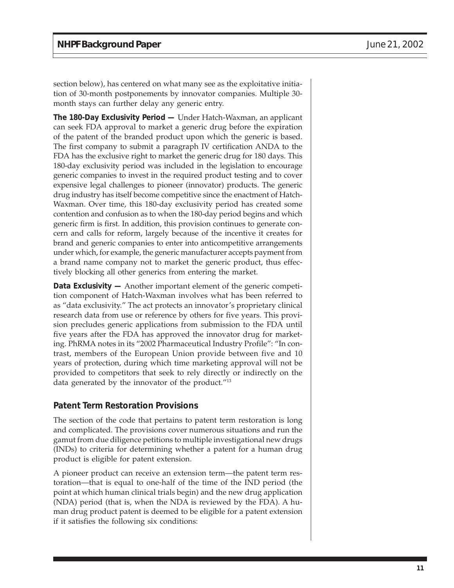section below), has centered on what many see as the exploitative initiation of 30-month postponements by innovator companies. Multiple 30 month stays can further delay any generic entry.

**The 180-Day Exclusivity Period —** Under Hatch-Waxman, an applicant can seek FDA approval to market a generic drug before the expiration of the patent of the branded product upon which the generic is based. The first company to submit a paragraph IV certification ANDA to the FDA has the exclusive right to market the generic drug for 180 days. This 180-day exclusivity period was included in the legislation to encourage generic companies to invest in the required product testing and to cover expensive legal challenges to pioneer (innovator) products. The generic drug industry has itself become competitive since the enactment of Hatch-Waxman. Over time, this 180-day exclusivity period has created some contention and confusion as to when the 180-day period begins and which generic firm is first. In addition, this provision continues to generate concern and calls for reform, largely because of the incentive it creates for brand and generic companies to enter into anticompetitive arrangements under which, for example, the generic manufacturer accepts payment from a brand name company not to market the generic product, thus effectively blocking all other generics from entering the market.

**Data Exclusivity —** Another important element of the generic competition component of Hatch-Waxman involves what has been referred to as "data exclusivity." The act protects an innovator's proprietary clinical research data from use or reference by others for five years. This provision precludes generic applications from submission to the FDA until five years after the FDA has approved the innovator drug for marketing. PhRMA notes in its "2002 Pharmaceutical Industry Profile": "In contrast, members of the European Union provide between five and 10 years of protection, during which time marketing approval will not be provided to competitors that seek to rely directly or indirectly on the data generated by the innovator of the product."13

#### **Patent Term Restoration Provisions**

The section of the code that pertains to patent term restoration is long and complicated. The provisions cover numerous situations and run the gamut from due diligence petitions to multiple investigational new drugs (INDs) to criteria for determining whether a patent for a human drug product is eligible for patent extension.

A pioneer product can receive an extension term—the patent term restoration—that is equal to one-half of the time of the IND period (the point at which human clinical trials begin) and the new drug application (NDA) period (that is, when the NDA is reviewed by the FDA). A human drug product patent is deemed to be eligible for a patent extension if it satisfies the following six conditions: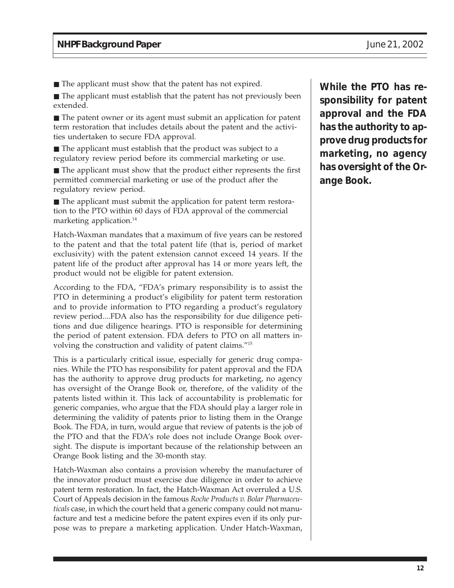■ The applicant must show that the patent has not expired.

■ The applicant must establish that the patent has not previously been extended.

■ The patent owner or its agent must submit an application for patent term restoration that includes details about the patent and the activities undertaken to secure FDA approval.

■ The applicant must establish that the product was subject to a regulatory review period before its commercial marketing or use.

■ The applicant must show that the product either represents the first permitted commercial marketing or use of the product after the regulatory review period.

■ The applicant must submit the application for patent term restoration to the PTO within 60 days of FDA approval of the commercial marketing application.<sup>14</sup>

Hatch-Waxman mandates that a maximum of five years can be restored to the patent and that the total patent life (that is, period of market exclusivity) with the patent extension cannot exceed 14 years. If the patent life of the product after approval has 14 or more years left, the product would not be eligible for patent extension.

According to the FDA, "FDA's primary responsibility is to assist the PTO in determining a product's eligibility for patent term restoration and to provide information to PTO regarding a product's regulatory review period....FDA also has the responsibility for due diligence petitions and due diligence hearings. PTO is responsible for determining the period of patent extension. FDA defers to PTO on all matters involving the construction and validity of patent claims."15

This is a particularly critical issue, especially for generic drug companies. While the PTO has responsibility for patent approval and the FDA has the authority to approve drug products for marketing, no agency has oversight of the Orange Book or, therefore, of the validity of the patents listed within it. This lack of accountability is problematic for generic companies, who argue that the FDA should play a larger role in determining the validity of patents prior to listing them in the Orange Book. The FDA, in turn, would argue that review of patents is the job of the PTO and that the FDA's role does not include Orange Book oversight. The dispute is important because of the relationship between an Orange Book listing and the 30-month stay.

Hatch-Waxman also contains a provision whereby the manufacturer of the innovator product must exercise due diligence in order to achieve patent term restoration. In fact, the Hatch-Waxman Act overruled a U.S. Court of Appeals decision in the famous *Roche Products v. Bolar Pharmaceuticals* case, in which the court held that a generic company could not manufacture and test a medicine before the patent expires even if its only purpose was to prepare a marketing application. Under Hatch-Waxman,

**While the PTO has responsibility for patent approval and the FDA has the authority to approve drug products for marketing, no agency has oversight of the Orange Book.**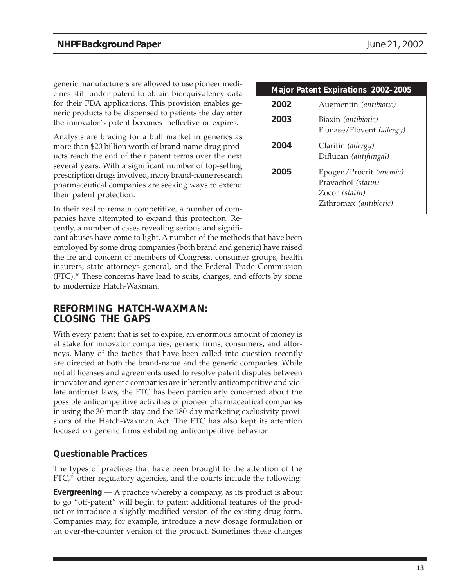generic manufacturers are allowed to use pioneer medicines still under patent to obtain bioequivalency data for their FDA applications. This provision enables generic products to be dispensed to patients the day after the innovator's patent becomes ineffective or expires.

Analysts are bracing for a bull market in generics as more than \$20 billion worth of brand-name drug products reach the end of their patent terms over the next several years. With a significant number of top-selling prescription drugs involved, many brand-name research pharmaceutical companies are seeking ways to extend their patent protection.

In their zeal to remain competitive, a number of companies have attempted to expand this protection. Recently, a number of cases revealing serious and signifi-

cant abuses have come to light. A number of the methods that have been employed by some drug companies (both brand and generic) have raised the ire and concern of members of Congress, consumer groups, health insurers, state attorneys general, and the Federal Trade Commission (FTC).16 These concerns have lead to suits, charges, and efforts by some to modernize Hatch-Waxman.

## **REFORMING HATCH-WAXMAN: CLOSING THE GAPS**

With every patent that is set to expire, an enormous amount of money is at stake for innovator companies, generic firms, consumers, and attorneys. Many of the tactics that have been called into question recently are directed at both the brand-name and the generic companies. While not all licenses and agreements used to resolve patent disputes between innovator and generic companies are inherently anticompetitive and violate antitrust laws, the FTC has been particularly concerned about the possible anticompetitive activities of pioneer pharmaceutical companies in using the 30-month stay and the 180-day marketing exclusivity provisions of the Hatch-Waxman Act. The FTC has also kept its attention focused on generic firms exhibiting anticompetitive behavior.

#### **Questionable Practices**

The types of practices that have been brought to the attention of the  $FTC<sup>17</sup>$  other regulatory agencies, and the courts include the following:

**Evergreening** *—* A practice whereby a company, as its product is about to go "off-patent" will begin to patent additional features of the product or introduce a slightly modified version of the existing drug form. Companies may, for example, introduce a new dosage formulation or an over-the-counter version of the product. Sometimes these changes

| <b>Major Patent Expirations 2002-2005</b> |                                                                                           |  |
|-------------------------------------------|-------------------------------------------------------------------------------------------|--|
| 2002                                      | Augmentin (antibiotic)                                                                    |  |
| 2003                                      | Biaxin <i>(antibiotic)</i><br>Flonase/Flovent (allergy)                                   |  |
| 2004                                      | Claritin (allergy)<br>Diflucan (antifungal)                                               |  |
| 2005                                      | Epogen/Procrit (anemia)<br>Pravachol (statin)<br>Zocor (statin)<br>Zithromax (antibiotic) |  |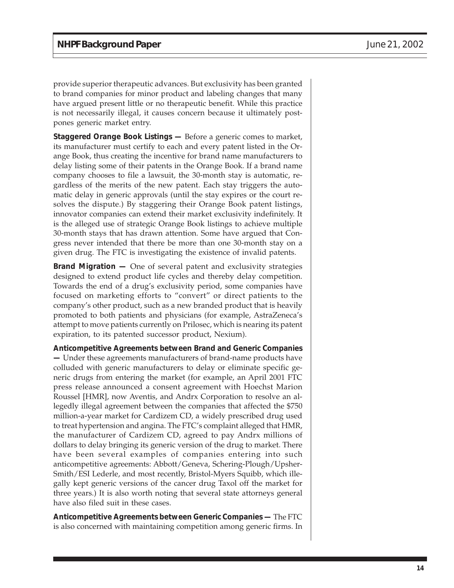provide superior therapeutic advances. But exclusivity has been granted to brand companies for minor product and labeling changes that many have argued present little or no therapeutic benefit. While this practice is not necessarily illegal, it causes concern because it ultimately postpones generic market entry.

**Staggered Orange Book Listings —** Before a generic comes to market, its manufacturer must certify to each and every patent listed in the Orange Book, thus creating the incentive for brand name manufacturers to delay listing some of their patents in the Orange Book. If a brand name company chooses to file a lawsuit, the 30-month stay is automatic, regardless of the merits of the new patent. Each stay triggers the automatic delay in generic approvals (until the stay expires or the court resolves the dispute.) By staggering their Orange Book patent listings, innovator companies can extend their market exclusivity indefinitely. It is the alleged use of strategic Orange Book listings to achieve multiple 30-month stays that has drawn attention. Some have argued that Congress never intended that there be more than one 30-month stay on a given drug. The FTC is investigating the existence of invalid patents.

**Brand Migration —** One of several patent and exclusivity strategies designed to extend product life cycles and thereby delay competition. Towards the end of a drug's exclusivity period, some companies have focused on marketing efforts to "convert" or direct patients to the company's other product, such as a new branded product that is heavily promoted to both patients and physicians (for example, AstraZeneca's attempt to move patients currently on Prilosec, which is nearing its patent expiration, to its patented successor product, Nexium).

**Anticompetitive Agreements between Brand and Generic Companies —** Under these agreements manufacturers of brand-name products have colluded with generic manufacturers to delay or eliminate specific generic drugs from entering the market (for example, an April 2001 FTC press release announced a consent agreement with Hoechst Marion Roussel [HMR], now Aventis, and Andrx Corporation to resolve an allegedly illegal agreement between the companies that affected the \$750 million-a-year market for Cardizem CD, a widely prescribed drug used to treat hypertension and angina. The FTC's complaint alleged that HMR, the manufacturer of Cardizem CD, agreed to pay Andrx millions of dollars to delay bringing its generic version of the drug to market. There have been several examples of companies entering into such anticompetitive agreements: Abbott/Geneva, Schering-Plough/Upsher-Smith/ESI Lederle, and most recently, Bristol-Myers Squibb, which illegally kept generic versions of the cancer drug Taxol off the market for three years.) It is also worth noting that several state attorneys general have also filed suit in these cases.

**Anticompetitive Agreements between Generic Companies —** The FTC is also concerned with maintaining competition among generic firms. In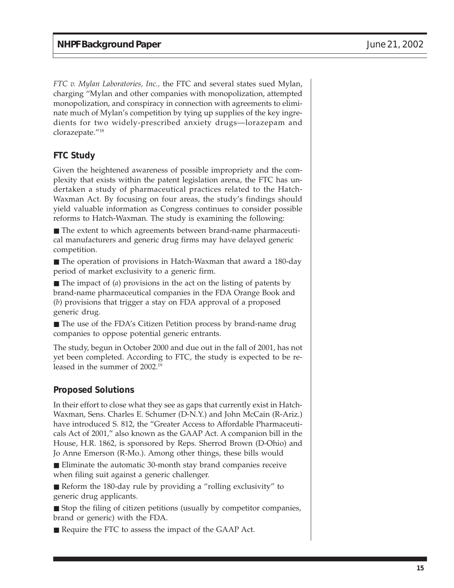*FTC v. Mylan Laboratories, Inc.,* the FTC and several states sued Mylan, charging "Mylan and other companies with monopolization, attempted monopolization, and conspiracy in connection with agreements to eliminate much of Mylan's competition by tying up supplies of the key ingredients for two widely-prescribed anxiety drugs—lorazepam and clorazepate."18

## **FTC Study**

Given the heightened awareness of possible impropriety and the complexity that exists within the patent legislation arena, the FTC has undertaken a study of pharmaceutical practices related to the Hatch-Waxman Act. By focusing on four areas, the study's findings should yield valuable information as Congress continues to consider possible reforms to Hatch-Waxman. The study is examining the following:

■ The extent to which agreements between brand-name pharmaceutical manufacturers and generic drug firms may have delayed generic competition.

■ The operation of provisions in Hatch-Waxman that award a 180-day period of market exclusivity to a generic firm.

■ The impact of (*a*) provisions in the act on the listing of patents by brand-name pharmaceutical companies in the FDA Orange Book and (*b*) provisions that trigger a stay on FDA approval of a proposed generic drug.

■ The use of the FDA's Citizen Petition process by brand-name drug companies to oppose potential generic entrants.

The study, begun in October 2000 and due out in the fall of 2001, has not yet been completed. According to FTC, the study is expected to be released in the summer of 2002.19

### **Proposed Solutions**

In their effort to close what they see as gaps that currently exist in Hatch-Waxman, Sens. Charles E. Schumer (D-N.Y.) and John McCain (R-Ariz.) have introduced S. 812, the "Greater Access to Affordable Pharmaceuticals Act of 2001," also known as the GAAP Act. A companion bill in the House, H.R. 1862, is sponsored by Reps. Sherrod Brown (D-Ohio) and Jo Anne Emerson (R-Mo.). Among other things, these bills would

■ Eliminate the automatic 30-month stay brand companies receive when filing suit against a generic challenger.

■ Reform the 180-day rule by providing a "rolling exclusivity" to generic drug applicants.

■ Stop the filing of citizen petitions (usually by competitor companies, brand or generic) with the FDA.

■ Require the FTC to assess the impact of the GAAP Act.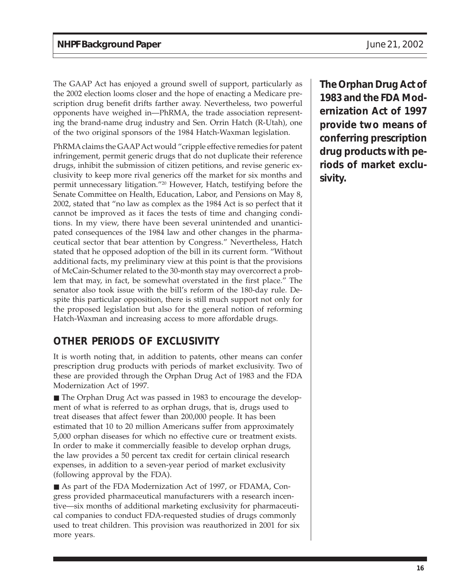The GAAP Act has enjoyed a ground swell of support, particularly as the 2002 election looms closer and the hope of enacting a Medicare prescription drug benefit drifts farther away. Nevertheless, two powerful opponents have weighed in—PhRMA, the trade association representing the brand-name drug industry and Sen. Orrin Hatch (R-Utah), one of the two original sponsors of the 1984 Hatch-Waxman legislation.

PhRMA claims the GAAP Act would "cripple effective remedies for patent infringement, permit generic drugs that do not duplicate their reference drugs, inhibit the submission of citizen petitions, and revise generic exclusivity to keep more rival generics off the market for six months and permit unnecessary litigation."20 However, Hatch, testifying before the Senate Committee on Health, Education, Labor, and Pensions on May 8, 2002, stated that "no law as complex as the 1984 Act is so perfect that it cannot be improved as it faces the tests of time and changing conditions. In my view, there have been several unintended and unanticipated consequences of the 1984 law and other changes in the pharmaceutical sector that bear attention by Congress." Nevertheless, Hatch stated that he opposed adoption of the bill in its current form. "Without additional facts, my preliminary view at this point is that the provisions of McCain-Schumer related to the 30-month stay may overcorrect a problem that may, in fact, be somewhat overstated in the first place." The senator also took issue with the bill's reform of the 180-day rule. Despite this particular opposition, there is still much support not only for the proposed legislation but also for the general notion of reforming Hatch-Waxman and increasing access to more affordable drugs.

# **OTHER PERIODS OF EXCLUSIVITY**

It is worth noting that, in addition to patents, other means can confer prescription drug products with periods of market exclusivity. Two of these are provided through the Orphan Drug Act of 1983 and the FDA Modernization Act of 1997.

■ The Orphan Drug Act was passed in 1983 to encourage the development of what is referred to as orphan drugs, that is, drugs used to treat diseases that affect fewer than 200,000 people. It has been estimated that 10 to 20 million Americans suffer from approximately 5,000 orphan diseases for which no effective cure or treatment exists. In order to make it commercially feasible to develop orphan drugs, the law provides a 50 percent tax credit for certain clinical research expenses, in addition to a seven-year period of market exclusivity (following approval by the FDA).

■ As part of the FDA Modernization Act of 1997, or FDAMA, Congress provided pharmaceutical manufacturers with a research incentive—six months of additional marketing exclusivity for pharmaceutical companies to conduct FDA-requested studies of drugs commonly used to treat children. This provision was reauthorized in 2001 for six more years.

**The Orphan Drug Act of 1983 and the FDA Modernization Act of 1997 provide two means of conferring prescription drug products with periods of market exclusivity.**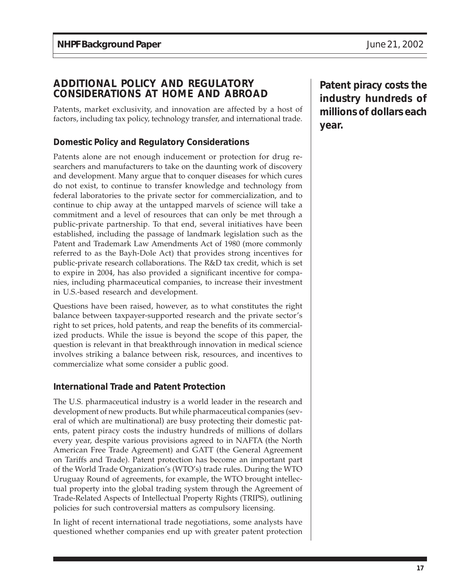## **ADDITIONAL POLICY AND REGULATORY CONSIDERATIONS AT HOME AND ABROAD**

Patents, market exclusivity, and innovation are affected by a host of factors, including tax policy, technology transfer, and international trade.

#### **Domestic Policy and Regulatory Considerations**

Patents alone are not enough inducement or protection for drug researchers and manufacturers to take on the daunting work of discovery and development. Many argue that to conquer diseases for which cures do not exist, to continue to transfer knowledge and technology from federal laboratories to the private sector for commercialization, and to continue to chip away at the untapped marvels of science will take a commitment and a level of resources that can only be met through a public-private partnership. To that end, several initiatives have been established, including the passage of landmark legislation such as the Patent and Trademark Law Amendments Act of 1980 (more commonly referred to as the Bayh-Dole Act) that provides strong incentives for public-private research collaborations. The R&D tax credit, which is set to expire in 2004, has also provided a significant incentive for companies, including pharmaceutical companies, to increase their investment in U.S.-based research and development.

Questions have been raised, however, as to what constitutes the right balance between taxpayer-supported research and the private sector's right to set prices, hold patents, and reap the benefits of its commercialized products. While the issue is beyond the scope of this paper, the question is relevant in that breakthrough innovation in medical science involves striking a balance between risk, resources, and incentives to commercialize what some consider a public good.

#### **International Trade and Patent Protection**

The U.S. pharmaceutical industry is a world leader in the research and development of new products. But while pharmaceutical companies (several of which are multinational) are busy protecting their domestic patents, patent piracy costs the industry hundreds of millions of dollars every year, despite various provisions agreed to in NAFTA (the North American Free Trade Agreement) and GATT (the General Agreement on Tariffs and Trade). Patent protection has become an important part of the World Trade Organization's (WTO's) trade rules. During the WTO Uruguay Round of agreements, for example, the WTO brought intellectual property into the global trading system through the Agreement of Trade-Related Aspects of Intellectual Property Rights (TRIPS), outlining policies for such controversial matters as compulsory licensing.

In light of recent international trade negotiations, some analysts have questioned whether companies end up with greater patent protection **Patent piracy costs the industry hundreds of millions of dollars each year.**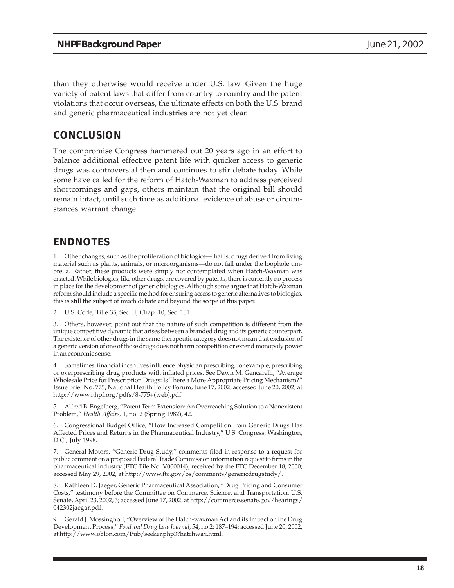than they otherwise would receive under U.S. law. Given the huge variety of patent laws that differ from country to country and the patent violations that occur overseas, the ultimate effects on both the U.S. brand and generic pharmaceutical industries are not yet clear.

## **CONCLUSION**

The compromise Congress hammered out 20 years ago in an effort to balance additional effective patent life with quicker access to generic drugs was controversial then and continues to stir debate today. While some have called for the reform of Hatch-Waxman to address perceived shortcomings and gaps, others maintain that the original bill should remain intact, until such time as additional evidence of abuse or circumstances warrant change.

## **ENDNOTES**

1. Other changes, such as the proliferation of biologics—that is, drugs derived from living material such as plants, animals, or microorganisms—do not fall under the loophole umbrella. Rather, these products were simply not contemplated when Hatch-Waxman was enacted. While biologics, like other drugs, are covered by patents, there is currently no process in place for the development of generic biologics. Although some argue that Hatch-Waxman reform should include a specific method for ensuring access to generic alternatives to biologics, this is still the subject of much debate and beyond the scope of this paper.

2. U.S. Code, Title 35, Sec. II, Chap. 10, Sec. 101.

3. Others, however, point out that the nature of such competition is different from the unique competitive dynamic that arises between a branded drug and its generic counterpart. The existence of other drugs in the same therapeutic category does not mean that exclusion of a generic version of one of those drugs does not harm competition or extend monopoly power in an economic sense.

4. Sometimes, financial incentives influence physician prescribing, for example, prescribing or overprescribing drug products with inflated prices. See Dawn M. Gencarelli, "Average Wholesale Price for Prescription Drugs: Is There a More Appropriate Pricing Mechanism?" Issue Brief No. 775, National Health Policy Forum, June 17, 2002; accessed June 20, 2002, at http://www.nhpf.org/pdfs/8-775+(web).pdf.

5. Alfred B. Engelberg, "Patent Term Extension: An Overreaching Solution to a Nonexistent Problem," *Health Affairs,* 1, no. 2 (Spring 1982), 42.

6. Congressional Budget Office, "How Increased Competition from Generic Drugs Has Affected Prices and Returns in the Pharmaceutical Industry," U.S. Congress, Washington, D.C., July 1998.

7. General Motors, "Generic Drug Study," comments filed in response to a request for public comment on a proposed Federal Trade Commission information request to firms in the pharmaceutical industry (FTC File No. V000014), received by the FTC December 18, 2000; accessed May 29, 2002, at http://www.ftc.gov/os/comments/genericdrugstudy/.

8. Kathleen D. Jaeger, Generic Pharmaceutical Association, "Drug Pricing and Consumer Costs," testimony before the Committee on Commerce, Science, and Transportation, U.S. Senate, April 23, 2002, 3; accessed June 17, 2002, at http://commerce.senate.gov/hearings/ 042302jaegar.pdf.

9. Gerald J. Mossinghoff, "Overview of the Hatch-waxman Act and its Impact on the Drug Development Process," *Food and Drug Law Journal,* 54, no 2: 187–194; accessed June 20, 2002, at http://www.oblon.com/Pub/seeker.php3?hatchwax.html.